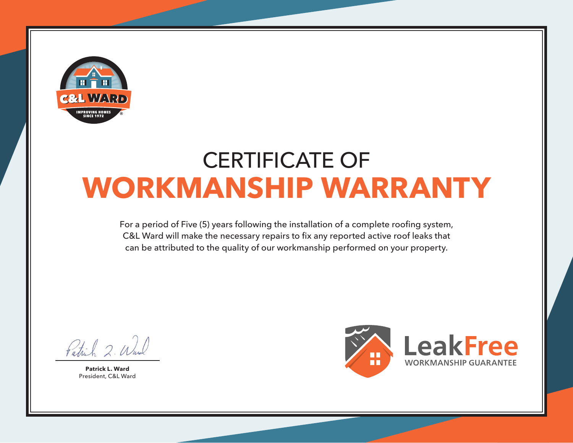

## CERTIFICATE OF **WORKMANSHIP WARRANTY**

For a period of Five (5) years following the installation of a complete roofing system, C&L Ward will make the necessary repairs to fix any reported active roof leaks that can be attributed to the quality of our workmanship performed on your property.

Patrick 2. Wal

**Patrick L. Ward** President, C&L Ward